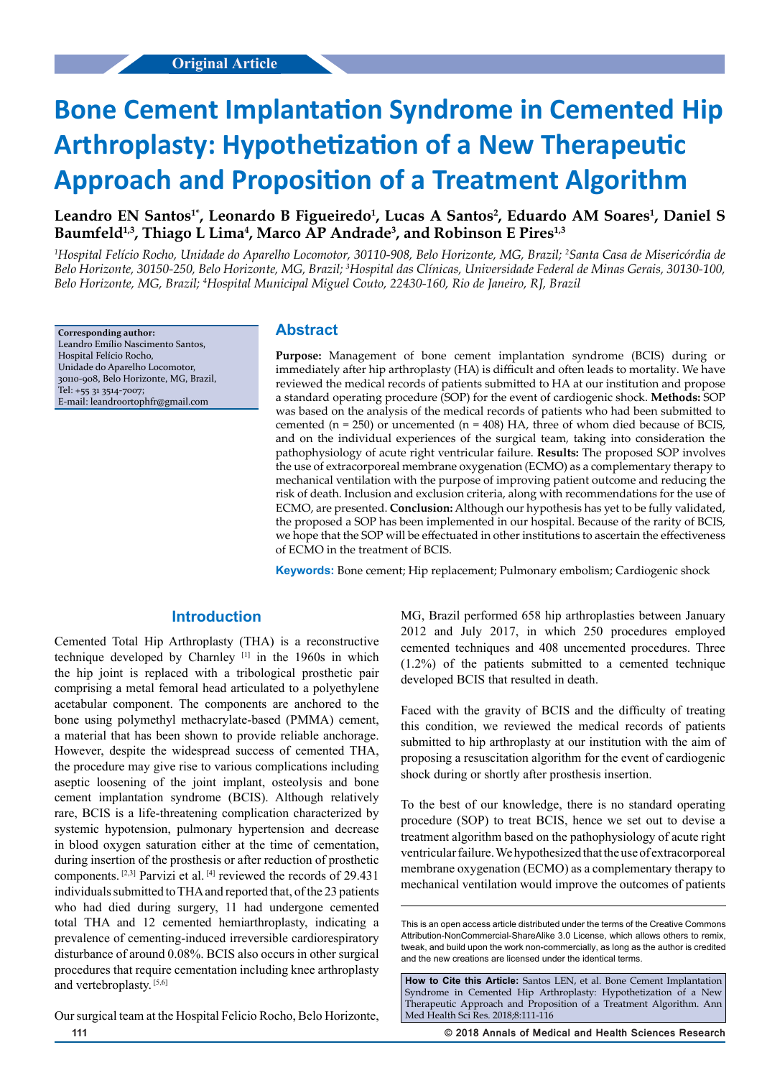# **Bone Cement Implantation Syndrome in Cemented Hip Arthroplasty: Hypothetization of a New Therapeutic Approach and Proposition of a Treatment Algorithm**

Leandro EN Santos<sup>1\*</sup>, Leonardo B Figueiredo<sup>1</sup>, Lucas A Santos<sup>2</sup>, Eduardo AM Soares<sup>1</sup>, Daniel S Baumfeld<sup>1,3</sup>, Thiago L Lima<sup>4</sup>, Marco AP Andrade<sup>3</sup>, and Robinson E Pires<sup>1,3</sup>

*1 Hospital Felício Rocho, Unidade do Aparelho Locomotor, 30110-908, Belo Horizonte, MG, Brazil; 2 Santa Casa de Misericórdia de Belo Horizonte, 30150-250, Belo Horizonte, MG, Brazil; 3 Hospital das Clínicas, Universidade Federal de Minas Gerais, 30130-100, Belo Horizonte, MG, Brazil; 4 Hospital Municipal Miguel Couto, 22430-160, Rio de Janeiro, RJ, Brazil*

**Corresponding author:** Leandro Emílio Nascimento Santos, Hospital Felício Rocho, Unidade do Aparelho Locomotor, 30110-908, Belo Horizonte, MG, Brazil, Tel: +55 31 3514-7007; E-mail: leandroortophfr@gmail.com

# **Abstract**

**Purpose:** Management of bone cement implantation syndrome (BCIS) during or immediately after hip arthroplasty (HA) is difficult and often leads to mortality. We have reviewed the medical records of patients submitted to HA at our institution and propose a standard operating procedure (SOP) for the event of cardiogenic shock. **Methods:** SOP was based on the analysis of the medical records of patients who had been submitted to cemented ( $n = 250$ ) or uncemented ( $n = 408$ ) HA, three of whom died because of BCIS, and on the individual experiences of the surgical team, taking into consideration the pathophysiology of acute right ventricular failure. **Results:** The proposed SOP involves the use of extracorporeal membrane oxygenation (ECMO) as a complementary therapy to mechanical ventilation with the purpose of improving patient outcome and reducing the risk of death. Inclusion and exclusion criteria, along with recommendations for the use of ECMO, are presented. **Conclusion:** Although our hypothesis has yet to be fully validated, the proposed a SOP has been implemented in our hospital. Because of the rarity of BCIS, we hope that the SOP will be effectuated in other institutions to ascertain the effectiveness of ECMO in the treatment of BCIS.

**Keywords:** Bone cement; Hip replacement; Pulmonary embolism; Cardiogenic shock

# **Introduction**

Cemented Total Hip Arthroplasty (THA) is a reconstructive technique developed by Charnley [1] in the 1960s in which the hip joint is replaced with a tribological prosthetic pair comprising a metal femoral head articulated to a polyethylene acetabular component. The components are anchored to the bone using polymethyl methacrylate-based (PMMA) cement, a material that has been shown to provide reliable anchorage. However, despite the widespread success of cemented THA, the procedure may give rise to various complications including aseptic loosening of the joint implant, osteolysis and bone cement implantation syndrome (BCIS). Although relatively rare, BCIS is a life-threatening complication characterized by systemic hypotension, pulmonary hypertension and decrease in blood oxygen saturation either at the time of cementation, during insertion of the prosthesis or after reduction of prosthetic components. [2,3] Parvizi et al. [4] reviewed the records of 29.431 individuals submitted to THA and reported that, of the 23 patients who had died during surgery, 11 had undergone cemented total THA and 12 cemented hemiarthroplasty, indicating a prevalence of cementing-induced irreversible cardiorespiratory disturbance of around 0.08%. BCIS also occurs in other surgical procedures that require cementation including knee arthroplasty and vertebroplasty. [5,6]

MG, Brazil performed 658 hip arthroplasties between January 2012 and July 2017, in which 250 procedures employed cemented techniques and 408 uncemented procedures. Three (1.2%) of the patients submitted to a cemented technique developed BCIS that resulted in death.

Faced with the gravity of BCIS and the difficulty of treating this condition, we reviewed the medical records of patients submitted to hip arthroplasty at our institution with the aim of proposing a resuscitation algorithm for the event of cardiogenic shock during or shortly after prosthesis insertion.

To the best of our knowledge, there is no standard operating procedure (SOP) to treat BCIS, hence we set out to devise a treatment algorithm based on the pathophysiology of acute right ventricular failure. We hypothesized that the use of extracorporeal membrane oxygenation (ECMO) as a complementary therapy to mechanical ventilation would improve the outcomes of patients

Our surgical team at the Hospital Felicio Rocho, Belo Horizonte,

**111 © 2018 Annals of Medical and Health Sciences Research** 

This is an open access article distributed under the terms of the Creative Commons Attribution‑NonCommercial‑ShareAlike 3.0 License, which allows others to remix tweak, and build upon the work non‑commercially, as long as the author is credited and the new creations are licensed under the identical terms.

**How to Cite this Article:** Santos LEN, et al. Bone Cement Implantation Syndrome in Cemented Hip Arthroplasty: Hypothetization of a New Therapeutic Approach and Proposition of a Treatment Algorithm. Ann Med Health Sci Res. 2018;8:111-116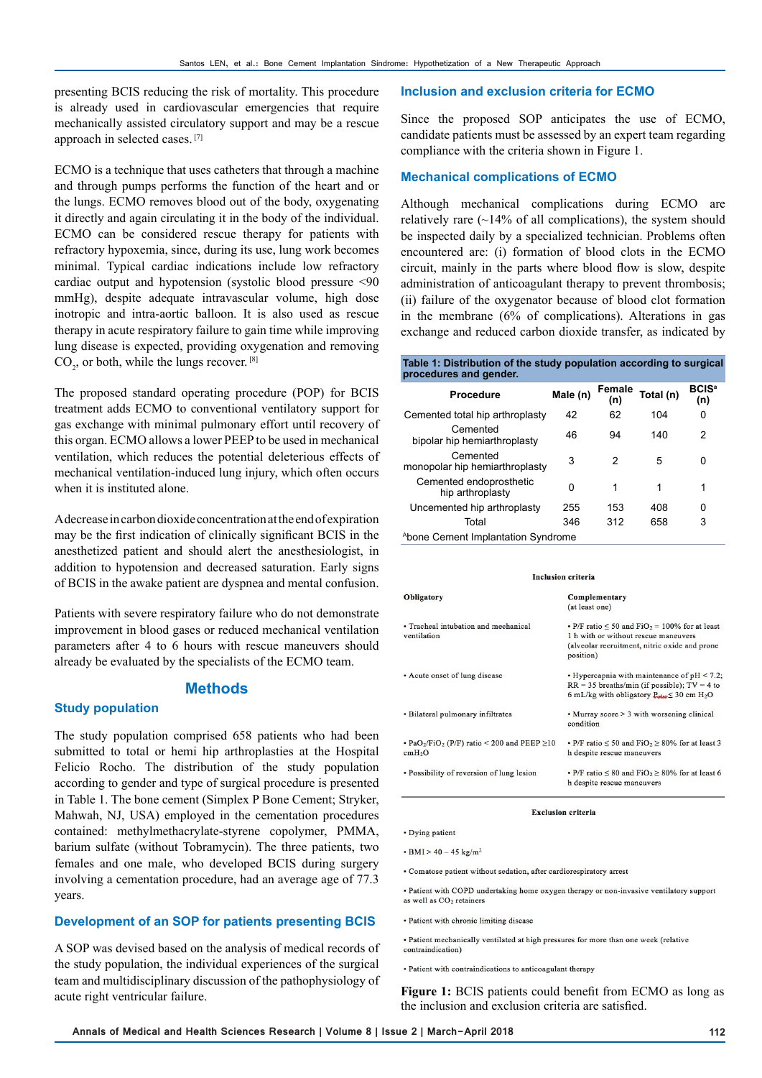presenting BCIS reducing the risk of mortality. This procedure is already used in cardiovascular emergencies that require mechanically assisted circulatory support and may be a rescue approach in selected cases. [7]

ECMO is a technique that uses catheters that through a machine and through pumps performs the function of the heart and or the lungs. ECMO removes blood out of the body, oxygenating it directly and again circulating it in the body of the individual. ECMO can be considered rescue therapy for patients with refractory hypoxemia, since, during its use, lung work becomes minimal. Typical cardiac indications include low refractory cardiac output and hypotension (systolic blood pressure <90 mmHg), despite adequate intravascular volume, high dose inotropic and intra-aortic balloon. It is also used as rescue therapy in acute respiratory failure to gain time while improving lung disease is expected, providing oxygenation and removing  $CO<sub>2</sub>$ , or both, while the lungs recover.  $^{[8]}$ 

The proposed standard operating procedure (POP) for BCIS treatment adds ECMO to conventional ventilatory support for gas exchange with minimal pulmonary effort until recovery of this organ. ECMO allows a lower PEEP to be used in mechanical ventilation, which reduces the potential deleterious effects of mechanical ventilation-induced lung injury, which often occurs when it is instituted alone.

A decrease in carbon dioxide concentration at the end of expiration may be the first indication of clinically significant BCIS in the anesthetized patient and should alert the anesthesiologist, in addition to hypotension and decreased saturation. Early signs of BCIS in the awake patient are dyspnea and mental confusion.

Patients with severe respiratory failure who do not demonstrate improvement in blood gases or reduced mechanical ventilation parameters after 4 to 6 hours with rescue maneuvers should already be evaluated by the specialists of the ECMO team.

## **Methods**

## **Study population**

The study population comprised 658 patients who had been submitted to total or hemi hip arthroplasties at the Hospital Felicio Rocho. The distribution of the study population according to gender and type of surgical procedure is presented in Table 1. The bone cement (Simplex P Bone Cement; Stryker, Mahwah, NJ, USA) employed in the cementation procedures contained: methylmethacrylate-styrene copolymer, PMMA, barium sulfate (without Tobramycin). The three patients, two females and one male, who developed BCIS during surgery involving a cementation procedure, had an average age of 77.3 years.

## **Development of an SOP for patients presenting BCIS**

A SOP was devised based on the analysis of medical records of the study population, the individual experiences of the surgical team and multidisciplinary discussion of the pathophysiology of acute right ventricular failure.

### **Inclusion and exclusion criteria for ECMO**

Since the proposed SOP anticipates the use of ECMO, candidate patients must be assessed by an expert team regarding compliance with the criteria shown in Figure 1.

## **Mechanical complications of ECMO**

Although mechanical complications during ECMO are relatively rare  $(\sim 14\%$  of all complications), the system should be inspected daily by a specialized technician. Problems often encountered are: (i) formation of blood clots in the ECMO circuit, mainly in the parts where blood flow is slow, despite administration of anticoagulant therapy to prevent thrombosis; (ii) failure of the oxygenator because of blood clot formation in the membrane (6% of complications). Alterations in gas exchange and reduced carbon dioxide transfer, as indicated by

#### **Table 1: Distribution of the study population according to surgical procedures and gender**

| <b>Procedure</b>                            | Male (n) | Female<br>(n) | Total (n) | <b>BCIS<sup>a</sup></b><br>(n) |
|---------------------------------------------|----------|---------------|-----------|--------------------------------|
| Cemented total hip arthroplasty             | 42       | 62            | 104       | 0                              |
| Cemented<br>bipolar hip hemiarthroplasty    | 46       | 94            | 140       | 2                              |
| Cemented<br>monopolar hip hemiarthroplasty  | 3        | 2             | 5         | 0                              |
| Cemented endoprosthetic<br>hip arthroplasty | Ω        | 1             | 1         | 1                              |
| Uncemented hip arthroplasty                 | 255      | 153           | 408       | 0                              |
| Total                                       | 346      | 312           | 658       | 3                              |
| Abone Cement Implantation Syndrome          |          |               |           |                                |

**Inclusion criteria** 

| Obligatory                                                                                      | Complementary<br>(at least one)                                                                                                                                                 |
|-------------------------------------------------------------------------------------------------|---------------------------------------------------------------------------------------------------------------------------------------------------------------------------------|
| • Tracheal intubation and mechanical<br>ventilation                                             | • P/F ratio $\leq 50$ and FiO <sub>2</sub> = 100% for at least<br>1 h with or without rescue maneuvers<br>(alveolar recruitment, nitric oxide and prone<br>position)            |
| • Acute onset of lung disease                                                                   | $\cdot$ Hypercapnia with maintenance of pH < 7.2;<br>$RR = 35$ breaths/min (if possible); $TV = 4$ to<br>6 mL/kg with obligatory $P_{\text{relat}} \leq 30$ cm H <sub>2</sub> O |
| • Bilateral pulmonary infiltrates                                                               | • Murray score > 3 with worsening clinical<br>condition                                                                                                                         |
| • PaO <sub>2</sub> /FiO <sub>2</sub> (P/F) ratio < 200 and PEEP $\geq$ 10<br>cmH <sub>2</sub> O | • P/F ratio $\leq 50$ and FiO <sub>2</sub> $\geq 80\%$ for at least 3<br>h despite rescue maneuvers                                                                             |
| • Possibility of reversion of lung lesion                                                       | • P/F ratio $\leq 80$ and FiO <sub>2</sub> $\geq 80\%$ for at least 6<br>h despite rescue maneuvers                                                                             |

**Exclusion criteria** 

· Dying patient

 $\cdot$  BMI > 40 - 45 kg/m<sup>2</sup>

• Comatose patient without sedation, after cardiorespiratory arrest

- · Patient with COPD undertaking home oxygen therapy or non-invasive ventilatory support as well as CO<sub>2</sub> retainers
- · Patient with chronic limiting disease

· Patient mechanically ventilated at high pressures for more than one week (relative contraindication)

· Patient with contraindications to anticoagulant therapy

**Figure 1:** BCIS patients could benefit from ECMO as long as the inclusion and exclusion criteria are satisfied.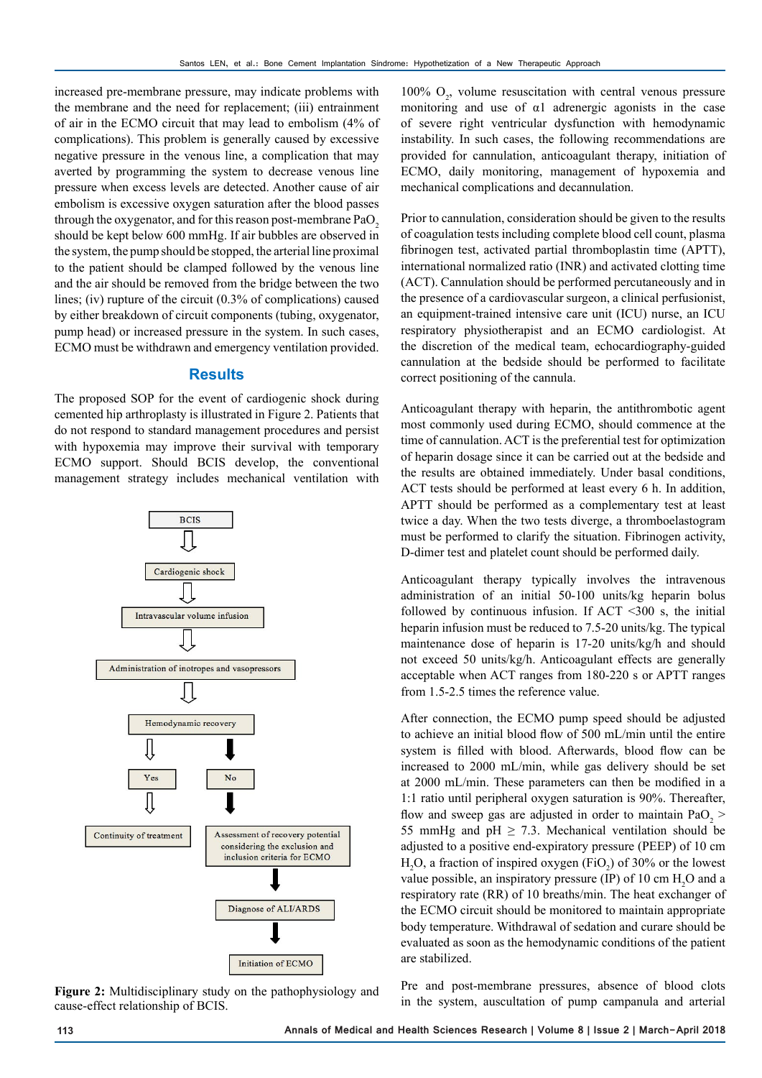increased pre-membrane pressure, may indicate problems with the membrane and the need for replacement; (iii) entrainment of air in the ECMO circuit that may lead to embolism (4% of complications). This problem is generally caused by excessive negative pressure in the venous line, a complication that may averted by programming the system to decrease venous line pressure when excess levels are detected. Another cause of air embolism is excessive oxygen saturation after the blood passes through the oxygenator, and for this reason post-membrane  $PaO<sub>2</sub>$ should be kept below 600 mmHg. If air bubbles are observed in the system, the pump should be stopped, the arterial line proximal to the patient should be clamped followed by the venous line and the air should be removed from the bridge between the two lines; (iv) rupture of the circuit (0.3% of complications) caused by either breakdown of circuit components (tubing, oxygenator, pump head) or increased pressure in the system. In such cases, ECMO must be withdrawn and emergency ventilation provided.

# **Results**

The proposed SOP for the event of cardiogenic shock during cemented hip arthroplasty is illustrated in Figure 2. Patients that do not respond to standard management procedures and persist with hypoxemia may improve their survival with temporary ECMO support. Should BCIS develop, the conventional management strategy includes mechanical ventilation with



cause-effect relationship of BCIS.

100%  $O_2$ , volume resuscitation with central venous pressure monitoring and use of  $\alpha$ 1 adrenergic agonists in the case of severe right ventricular dysfunction with hemodynamic instability. In such cases, the following recommendations are provided for cannulation, anticoagulant therapy, initiation of ECMO, daily monitoring, management of hypoxemia and mechanical complications and decannulation.

Prior to cannulation, consideration should be given to the results of coagulation tests including complete blood cell count, plasma fibrinogen test, activated partial thromboplastin time (APTT), international normalized ratio (INR) and activated clotting time (ACT). Cannulation should be performed percutaneously and in the presence of a cardiovascular surgeon, a clinical perfusionist, an equipment-trained intensive care unit (ICU) nurse, an ICU respiratory physiotherapist and an ECMO cardiologist. At the discretion of the medical team, echocardiography-guided cannulation at the bedside should be performed to facilitate correct positioning of the cannula.

Anticoagulant therapy with heparin, the antithrombotic agent most commonly used during ECMO, should commence at the time of cannulation. ACT is the preferential test for optimization of heparin dosage since it can be carried out at the bedside and the results are obtained immediately. Under basal conditions, ACT tests should be performed at least every 6 h. In addition, APTT should be performed as a complementary test at least twice a day. When the two tests diverge, a thromboelastogram must be performed to clarify the situation. Fibrinogen activity, D-dimer test and platelet count should be performed daily.

Anticoagulant therapy typically involves the intravenous administration of an initial 50-100 units/kg heparin bolus followed by continuous infusion. If  $ACT < 300$  s, the initial heparin infusion must be reduced to 7.5-20 units/kg. The typical maintenance dose of heparin is 17-20 units/kg/h and should not exceed 50 units/kg/h. Anticoagulant effects are generally acceptable when ACT ranges from 180-220 s or APTT ranges from 1.5-2.5 times the reference value.

After connection, the ECMO pump speed should be adjusted to achieve an initial blood flow of 500 mL/min until the entire system is filled with blood. Afterwards, blood flow can be increased to 2000 mL/min, while gas delivery should be set at 2000 mL/min. These parameters can then be modified in a 1:1 ratio until peripheral oxygen saturation is 90%. Thereafter, flow and sweep gas are adjusted in order to maintain  $PaO<sub>2</sub>$  > 55 mmHg and pH  $\geq$  7.3. Mechanical ventilation should be adjusted to a positive end-expiratory pressure (PEEP) of 10 cm  $H_2O$ , a fraction of inspired oxygen (FiO<sub>2</sub>) of 30% or the lowest value possible, an inspiratory pressure (IP) of 10 cm  $H_2O$  and a respiratory rate (RR) of 10 breaths/min. The heat exchanger of the ECMO circuit should be monitored to maintain appropriate body temperature. Withdrawal of sedation and curare should be evaluated as soon as the hemodynamic conditions of the patient are stabilized.

Pre and post-membrane pressures, absence of blood clots Figure 2: Multidisciplinary study on the pathophysiology and Figure 2. Multidisciplinary study on the pathophysiology and Figure 2: Multidisciplinary study on the pathophysiology and in the system, auscultation of pump cam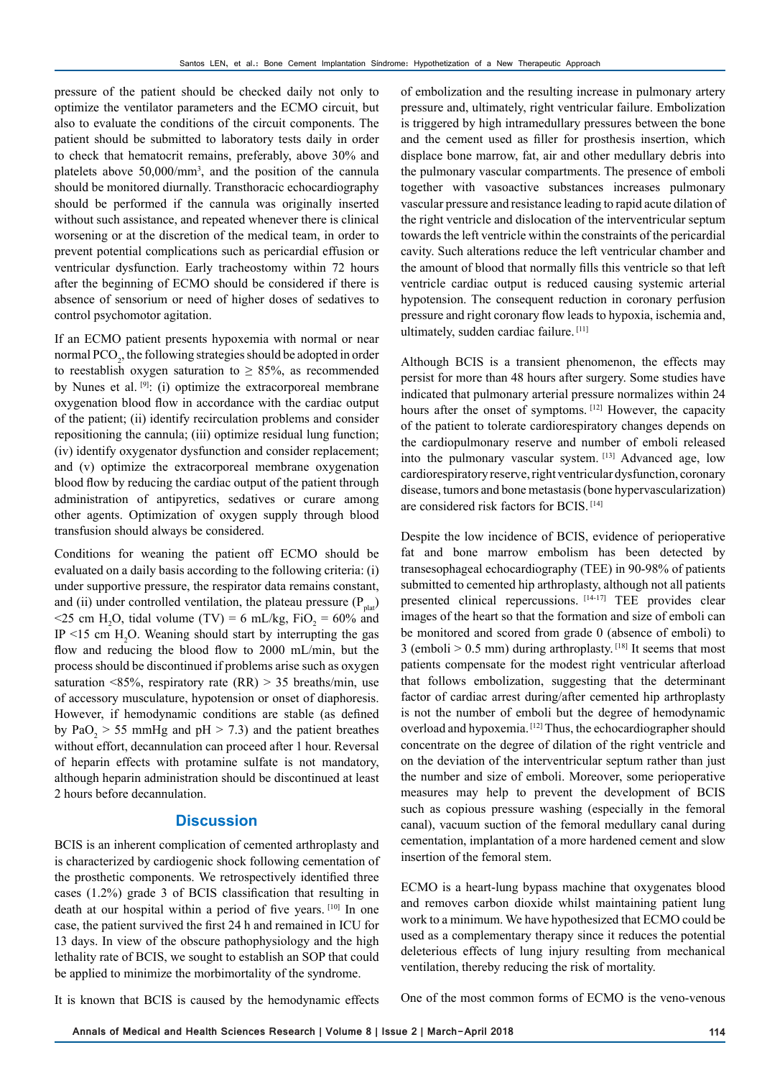pressure of the patient should be checked daily not only to optimize the ventilator parameters and the ECMO circuit, but also to evaluate the conditions of the circuit components. The patient should be submitted to laboratory tests daily in order to check that hematocrit remains, preferably, above 30% and platelets above 50,000/mm3 , and the position of the cannula should be monitored diurnally. Transthoracic echocardiography should be performed if the cannula was originally inserted without such assistance, and repeated whenever there is clinical worsening or at the discretion of the medical team, in order to prevent potential complications such as pericardial effusion or ventricular dysfunction. Early tracheostomy within 72 hours after the beginning of ECMO should be considered if there is absence of sensorium or need of higher doses of sedatives to control psychomotor agitation.

If an ECMO patient presents hypoxemia with normal or near normal  $\text{PCO}_2$ , the following strategies should be adopted in order to reestablish oxygen saturation to  $\geq$  85%, as recommended by Nunes et al. <sup>[9]</sup>: (i) optimize the extracorporeal membrane oxygenation blood flow in accordance with the cardiac output of the patient; (ii) identify recirculation problems and consider repositioning the cannula; (iii) optimize residual lung function; (iv) identify oxygenator dysfunction and consider replacement; and (v) optimize the extracorporeal membrane oxygenation blood flow by reducing the cardiac output of the patient through administration of antipyretics, sedatives or curare among other agents. Optimization of oxygen supply through blood transfusion should always be considered.

Conditions for weaning the patient off ECMO should be evaluated on a daily basis according to the following criteria: (i) under supportive pressure, the respirator data remains constant, and (ii) under controlled ventilation, the plateau pressure  $(P_{\text{plat}})$  $\leq$  25 cm H<sub>2</sub>O, tidal volume (TV) = 6 mL/kg, FiO<sub>2</sub> = 60% and IP  $\leq$ 15 cm H<sub>2</sub>O. Weaning should start by interrupting the gas flow and reducing the blood flow to 2000 mL/min, but the process should be discontinued if problems arise such as oxygen saturation <85%, respiratory rate  $(RR) > 35$  breaths/min, use of accessory musculature, hypotension or onset of diaphoresis. However, if hemodynamic conditions are stable (as defined by  $PaO<sub>2</sub> > 55$  mmHg and  $pH > 7.3$ ) and the patient breathes without effort, decannulation can proceed after 1 hour. Reversal of heparin effects with protamine sulfate is not mandatory, although heparin administration should be discontinued at least 2 hours before decannulation.

# **Discussion**

BCIS is an inherent complication of cemented arthroplasty and is characterized by cardiogenic shock following cementation of the prosthetic components. We retrospectively identified three cases (1.2%) grade 3 of BCIS classification that resulting in death at our hospital within a period of five years. [10] In one case, the patient survived the first 24 h and remained in ICU for 13 days. In view of the obscure pathophysiology and the high lethality rate of BCIS, we sought to establish an SOP that could be applied to minimize the morbimortality of the syndrome.

of embolization and the resulting increase in pulmonary artery pressure and, ultimately, right ventricular failure. Embolization is triggered by high intramedullary pressures between the bone and the cement used as filler for prosthesis insertion, which displace bone marrow, fat, air and other medullary debris into the pulmonary vascular compartments. The presence of emboli together with vasoactive substances increases pulmonary vascular pressure and resistance leading to rapid acute dilation of the right ventricle and dislocation of the interventricular septum towards the left ventricle within the constraints of the pericardial cavity. Such alterations reduce the left ventricular chamber and the amount of blood that normally fills this ventricle so that left ventricle cardiac output is reduced causing systemic arterial hypotension. The consequent reduction in coronary perfusion pressure and right coronary flow leads to hypoxia, ischemia and, ultimately, sudden cardiac failure. [11]

Although BCIS is a transient phenomenon, the effects may persist for more than 48 hours after surgery. Some studies have indicated that pulmonary arterial pressure normalizes within 24 hours after the onset of symptoms. [12] However, the capacity of the patient to tolerate cardiorespiratory changes depends on the cardiopulmonary reserve and number of emboli released into the pulmonary vascular system. [13] Advanced age, low cardiorespiratory reserve, right ventricular dysfunction, coronary disease, tumors and bone metastasis (bone hypervascularization) are considered risk factors for BCIS. [14]

Despite the low incidence of BCIS, evidence of perioperative fat and bone marrow embolism has been detected by transesophageal echocardiography (TEE) in 90-98% of patients submitted to cemented hip arthroplasty, although not all patients presented clinical repercussions. [14-17] TEE provides clear images of the heart so that the formation and size of emboli can be monitored and scored from grade 0 (absence of emboli) to 3 (emboli  $> 0.5$  mm) during arthroplasty. [18] It seems that most patients compensate for the modest right ventricular afterload that follows embolization, suggesting that the determinant factor of cardiac arrest during/after cemented hip arthroplasty is not the number of emboli but the degree of hemodynamic overload and hypoxemia. [12] Thus, the echocardiographer should concentrate on the degree of dilation of the right ventricle and on the deviation of the interventricular septum rather than just the number and size of emboli. Moreover, some perioperative measures may help to prevent the development of BCIS such as copious pressure washing (especially in the femoral canal), vacuum suction of the femoral medullary canal during cementation, implantation of a more hardened cement and slow insertion of the femoral stem.

ECMO is a heart-lung bypass machine that oxygenates blood and removes carbon dioxide whilst maintaining patient lung work to a minimum. We have hypothesized that ECMO could be used as a complementary therapy since it reduces the potential deleterious effects of lung injury resulting from mechanical ventilation, thereby reducing the risk of mortality.

It is known that BCIS is caused by the hemodynamic effects

One of the most common forms of ECMO is the veno-venous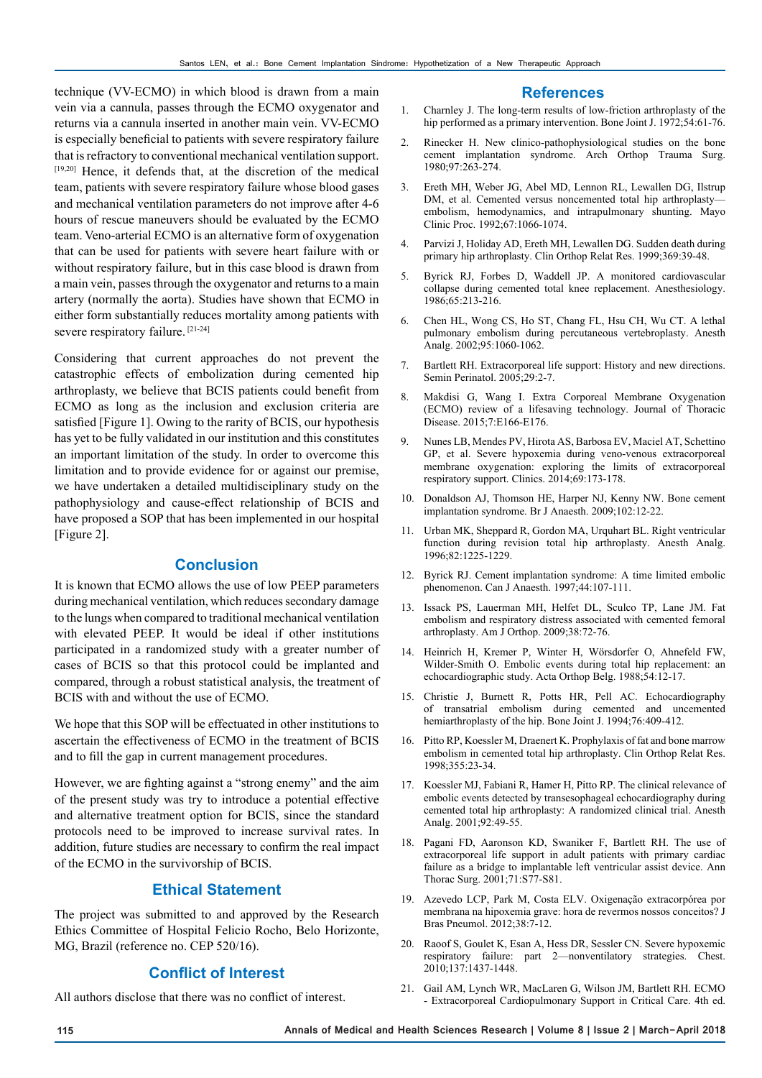technique (VV-ECMO) in which blood is drawn from a main vein via a cannula, passes through the ECMO oxygenator and returns via a cannula inserted in another main vein. VV-ECMO is especially beneficial to patients with severe respiratory failure that is refractory to conventional mechanical ventilation support. [19,20] Hence, it defends that, at the discretion of the medical team, patients with severe respiratory failure whose blood gases and mechanical ventilation parameters do not improve after 4-6 hours of rescue maneuvers should be evaluated by the ECMO team. Veno-arterial ECMO is an alternative form of oxygenation that can be used for patients with severe heart failure with or without respiratory failure, but in this case blood is drawn from a main vein, passes through the oxygenator and returns to a main artery (normally the aorta). Studies have shown that ECMO in either form substantially reduces mortality among patients with severe respiratory failure. [21-24]

Considering that current approaches do not prevent the catastrophic effects of embolization during cemented hip arthroplasty, we believe that BCIS patients could benefit from ECMO as long as the inclusion and exclusion criteria are satisfied [Figure 1]. Owing to the rarity of BCIS, our hypothesis has yet to be fully validated in our institution and this constitutes an important limitation of the study. In order to overcome this limitation and to provide evidence for or against our premise, we have undertaken a detailed multidisciplinary study on the pathophysiology and cause-effect relationship of BCIS and have proposed a SOP that has been implemented in our hospital [Figure 2].

## **Conclusion**

It is known that ECMO allows the use of low PEEP parameters during mechanical ventilation, which reduces secondary damage to the lungs when compared to traditional mechanical ventilation with elevated PEEP. It would be ideal if other institutions participated in a randomized study with a greater number of cases of BCIS so that this protocol could be implanted and compared, through a robust statistical analysis, the treatment of BCIS with and without the use of ECMO.

We hope that this SOP will be effectuated in other institutions to ascertain the effectiveness of ECMO in the treatment of BCIS and to fill the gap in current management procedures.

However, we are fighting against a "strong enemy" and the aim of the present study was try to introduce a potential effective and alternative treatment option for BCIS, since the standard protocols need to be improved to increase survival rates. In addition, future studies are necessary to confirm the real impact of the ECMO in the survivorship of BCIS.

# **Ethical Statement**

The project was submitted to and approved by the Research Ethics Committee of Hospital Felicio Rocho, Belo Horizonte, MG, Brazil (reference no. CEP 520/16).

# **Conflict of Interest**

All authors disclose that there was no conflict of interest.

## **References**

- 1. Charnley J. The long-term results of low-friction arthroplasty of the hip performed as a primary intervention. Bone Joint J. 1972;54:61-76.
- 2. Rinecker H. New clinico-pathophysiological studies on the bone cement implantation syndrome. Arch Orthop Trauma Surg. 1980;97:263-274.
- 3. Ereth MH, Weber JG, Abel MD, Lennon RL, Lewallen DG, Ilstrup DM, et al. Cemented versus noncemented total hip arthroplastyembolism, hemodynamics, and intrapulmonary shunting. Mayo Clinic Proc. 1992;67:1066-1074.
- 4. Parvizi J, Holiday AD, Ereth MH, Lewallen DG. Sudden death during primary hip arthroplasty. Clin Orthop Relat Res. 1999;369:39-48.
- 5. Byrick RJ, Forbes D, Waddell JP. A monitored cardiovascular collapse during cemented total knee replacement. Anesthesiology. 1986;65:213-216.
- 6. Chen HL, Wong CS, Ho ST, Chang FL, Hsu CH, Wu CT. A lethal pulmonary embolism during percutaneous vertebroplasty. Anesth Analg. 2002;95:1060-1062.
- 7. Bartlett RH. Extracorporeal life support: History and new directions. Semin Perinatol. 2005;29:2-7.
- 8. Makdisi G, Wang I. Extra Corporeal Membrane Oxygenation (ECMO) review of a lifesaving technology. Journal of Thoracic Disease. 2015;7:E166-E176.
- 9. Nunes LB, Mendes PV, Hirota AS, Barbosa EV, Maciel AT, Schettino GP, et al. Severe hypoxemia during veno-venous extracorporeal membrane oxygenation: exploring the limits of extracorporeal respiratory support. Clinics. 2014;69:173-178.
- 10. Donaldson AJ, Thomson HE, Harper NJ, Kenny NW. Bone cement implantation syndrome. Br J Anaesth. 2009;102:12-22.
- 11. Urban MK, Sheppard R, Gordon MA, Urquhart BL. Right ventricular function during revision total hip arthroplasty. Anesth Analg. 1996;82:1225-1229.
- 12. Byrick RJ. Cement implantation syndrome: A time limited embolic phenomenon. Can J Anaesth. 1997;44:107-111.
- 13. Issack PS, Lauerman MH, Helfet DL, Sculco TP, Lane JM. Fat embolism and respiratory distress associated with cemented femoral arthroplasty. Am J Orthop. 2009;38:72-76.
- 14. Heinrich H, Kremer P, Winter H, Wörsdorfer O, Ahnefeld FW, Wilder-Smith O. Embolic events during total hip replacement: an echocardiographic study. Acta Orthop Belg. 1988;54:12-17.
- 15. Christie J, Burnett R, Potts HR, Pell AC. Echocardiography of transatrial embolism during cemented and uncemented hemiarthroplasty of the hip. Bone Joint J. 1994;76:409-412.
- 16. Pitto RP, Koessler M, Draenert K. Prophylaxis of fat and bone marrow embolism in cemented total hip arthroplasty. Clin Orthop Relat Res. 1998;355:23-34.
- 17. Koessler MJ, Fabiani R, Hamer H, Pitto RP. The clinical relevance of embolic events detected by transesophageal echocardiography during cemented total hip arthroplasty: A randomized clinical trial. Anesth Analg. 2001;92:49-55.
- 18. Pagani FD, Aaronson KD, Swaniker F, Bartlett RH. The use of extracorporeal life support in adult patients with primary cardiac failure as a bridge to implantable left ventricular assist device. Ann Thorac Surg. 2001;71:S77-S81.
- 19. Azevedo LCP, Park M, Costa ELV. Oxigenação extracorpórea por membrana na hipoxemia grave: hora de revermos nossos conceitos? J Bras Pneumol. 2012;38:7-12.
- 20. Raoof S, Goulet K, Esan A, Hess DR, Sessler CN. Severe hypoxemic respiratory failure: part 2—nonventilatory strategies. Chest. 2010;137:1437-1448.
- 21. Gail AM, Lynch WR, MacLaren G, Wilson JM, Bartlett RH. ECMO - Extracorporeal Cardiopulmonary Support in Critical Care. 4th ed.